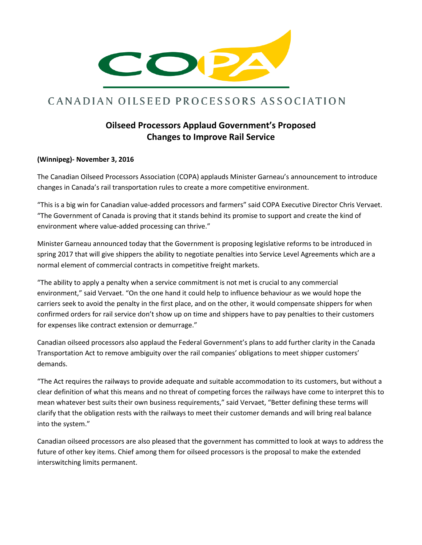

## CANADIAN OILSEED PROCESSORS ASSOCIATION

## **Oilseed Processors Applaud Government's Proposed Changes to Improve Rail Service**

## **(Winnipeg)- November 3, 2016**

The Canadian Oilseed Processors Association (COPA) applauds Minister Garneau's announcement to introduce changes in Canada's rail transportation rules to create a more competitive environment.

"This is a big win for Canadian value-added processors and farmers" said COPA Executive Director Chris Vervaet. "The Government of Canada is proving that it stands behind its promise to support and create the kind of environment where value-added processing can thrive."

Minister Garneau announced today that the Government is proposing legislative reforms to be introduced in spring 2017 that will give shippers the ability to negotiate penalties into Service Level Agreements which are a normal element of commercial contracts in competitive freight markets.

"The ability to apply a penalty when a service commitment is not met is crucial to any commercial environment," said Vervaet. "On the one hand it could help to influence behaviour as we would hope the carriers seek to avoid the penalty in the first place, and on the other, it would compensate shippers for when confirmed orders for rail service don't show up on time and shippers have to pay penalties to their customers for expenses like contract extension or demurrage."

Canadian oilseed processors also applaud the Federal Government's plans to add further clarity in the Canada Transportation Act to remove ambiguity over the rail companies' obligations to meet shipper customers' demands.

"The Act requires the railways to provide adequate and suitable accommodation to its customers, but without a clear definition of what this means and no threat of competing forces the railways have come to interpret this to mean whatever best suits their own business requirements," said Vervaet, "Better defining these terms will clarify that the obligation rests with the railways to meet their customer demands and will bring real balance into the system."

Canadian oilseed processors are also pleased that the government has committed to look at ways to address the future of other key items. Chief among them for oilseed processors is the proposal to make the extended interswitching limits permanent.